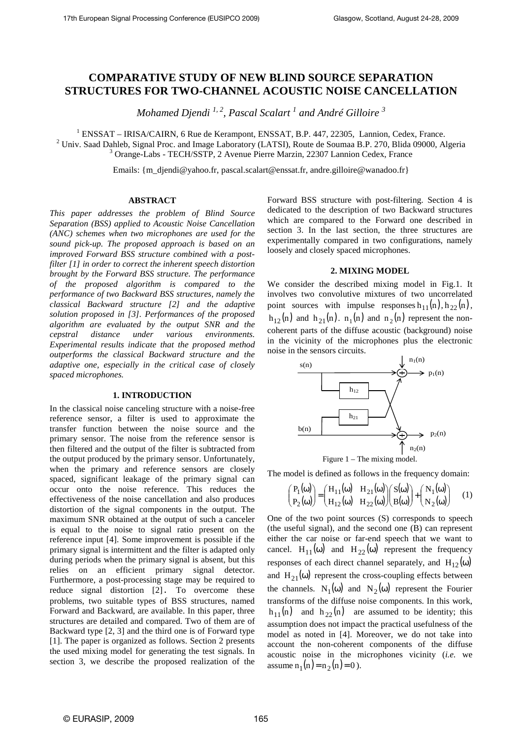# **COMPARATIVE STUDY OF NEW BLIND SOURCE SEPARATION STRUCTURES FOR TWO-CHANNEL ACOUSTIC NOISE CANCELLATION**

*Mohamed Djendi 1, 2, Pascal Scalart <sup>1</sup> and André Gilloire <sup>3</sup>* 

<sup>1</sup> ENSSAT – IRISA/CAIRN, 6 Rue de Kerampont, ENSSAT, B.P. 447, 22305, Lannion, Cedex, France.

<sup>2</sup> Univ. Saad Dahleb, Signal Proc. and Image Laboratory (LATSI), Route de Soumaa B.P. 270, Blida 09000, Algeria 3 Orange-Labs - TECH/SSTP, 2 Avenue Pierre Marzin, 22307 Lannion Cedex, France

Emails: {m\_djendi@yahoo.fr, pascal.scalart@enssat.fr, andre.gilloire@wanadoo.fr}

# **ABSTRACT**

*This paper addresses the problem of Blind Source Separation (BSS) applied to Acoustic Noise Cancellation (ANC) schemes when two microphones are used for the sound pick-up. The proposed approach is based on an improved Forward BSS structure combined with a postfilter [1] in order to correct the inherent speech distortion brought by the Forward BSS structure. The performance of the proposed algorithm is compared to the performance of two Backward BSS structures, namely the classical Backward structure [2] and the adaptive solution proposed in [3]. Performances of the proposed algorithm are evaluated by the output SNR and the cepstral distance under various environments. Experimental results indicate that the proposed method outperforms the classical Backward structure and the adaptive one, especially in the critical case of closely spaced microphones.* 

### **1. INTRODUCTION**

In the classical noise canceling structure with a noise-free reference sensor, a filter is used to approximate the transfer function between the noise source and the primary sensor. The noise from the reference sensor is then filtered and the output of the filter is subtracted from the output produced by the primary sensor. Unfortunately, when the primary and reference sensors are closely spaced, significant leakage of the primary signal can occur onto the noise reference. This reduces the effectiveness of the noise cancellation and also produces distortion of the signal components in the output. The maximum SNR obtained at the output of such a canceler is equal to the noise to signal ratio present on the reference input [4]. Some improvement is possible if the primary signal is intermittent and the filter is adapted only during periods when the primary signal is absent, but this relies on an efficient primary signal detector. Furthermore, a post-processing stage may be required to reduce signal distortion [2]. To overcome these problems, two suitable types of BSS structures, named Forward and Backward, are available. In this paper, three structures are detailed and compared. Two of them are of Backward type [2, 3] and the third one is of Forward type [1]. The paper is organized as follows. Section 2 presents the used mixing model for generating the test signals. In section 3, we describe the proposed realization of the Forward BSS structure with post-filtering. Section 4 is dedicated to the description of two Backward structures which are compared to the Forward one described in section 3. In the last section, the three structures are experimentally compared in two configurations, namely loosely and closely spaced microphones.

### **2. MIXING MODEL**

We consider the described mixing model in Fig.1. It involves two convolutive mixtures of two uncorrelated point sources with impulse responses  $h_{11}(n)$ ,  $h_{22}(n)$ ,  $h_{12}(n)$  and  $h_{21}(n)$ .  $n_1(n)$  and  $n_2(n)$  represent the noncoherent parts of the diffuse acoustic (background) noise in the vicinity of the microphones plus the electronic noise in the sensors circuits.



The model is defined as follows in the frequency domain:

$$
\begin{pmatrix} P_1(\omega) \\ P_2(\omega) \end{pmatrix} = \begin{pmatrix} H_{11}(\omega) & H_{21}(\omega) \\ H_{12}(\omega) & H_{22}(\omega) \end{pmatrix} \begin{pmatrix} S(\omega) \\ B(\omega) \end{pmatrix} + \begin{pmatrix} N_1(\omega) \\ N_2(\omega) \end{pmatrix} \quad (1)
$$

One of the two point sources (S) corresponds to speech (the useful signal), and the second one (B) can represent either the car noise or far-end speech that we want to cancel.  $H_{11}(\omega)$  and  $H_{22}(\omega)$  represent the frequency responses of each direct channel separately, and  $H_{12}(\omega)$ and  $H_{21}(\omega)$  represent the cross-coupling effects between the channels.  $N_1(\omega)$  and  $N_2(\omega)$  represent the Fourier transforms of the diffuse noise components. In this work,  $h_{11}(n)$  and  $h_{22}(n)$  are assumed to be identity; this assumption does not impact the practical usefulness of the model as noted in [4]. Moreover, we do not take into account the non-coherent components of the diffuse acoustic noise in the microphones vicinity (*i.e.* we assume  $n_1(n) = n_2(n) = 0$ .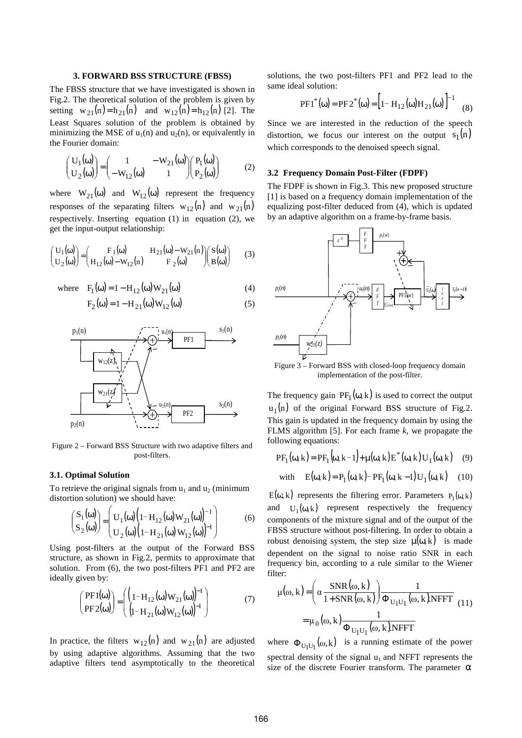# **3. FORWARD BSS STRUCTURE (FBSS)**

The FBSS structure that we have investigated is shown in Fig.2. The theoretical solution of the problem is given by setting  $w_{21}(n) = h_{21}(n)$  and  $w_{12}(n) = h_{12}(n)$  [2]. The Least Squares solution of the problem is obtained by minimizing the MSE of  $u_1(n)$  and  $u_2(n)$ , or equivalently in the Fourier domain:

$$
\begin{pmatrix}\nU_1(\omega) \\
U_2(\omega)\n\end{pmatrix} = \begin{pmatrix}\n1 & -W_{21}(\omega) \\
-W_{12}(\omega) & 1\n\end{pmatrix} \begin{pmatrix}\nP_1(\omega) \\
P_2(\omega)\n\end{pmatrix}
$$
\n(2)

where  $W_{21}(\omega)$  and  $W_{12}(\omega)$  represent the frequency responses of the separating filters  $w_{12}(n)$  and  $w_{21}(n)$ respectively. Inserting equation (1) in equation (2), we get the input-output relationship:

$$
\begin{pmatrix}\nU_1(\omega) \\
U_2(\omega)\n\end{pmatrix} = \begin{pmatrix}\nF_1(\omega) & H_{21}(\omega) - W_{21}(n) \\
H_{12}(\omega) - W_{12}(n) & F_2(\omega)\n\end{pmatrix} \begin{pmatrix}\nS(\omega) \\
B(\omega)\n\end{pmatrix}
$$
\n(3)

where  $F_1(\omega) = 1 - H_{12}(\omega) W_{21}(\omega)$  (4)

$$
F_2(\omega) = 1 - H_{21}(\omega)W_{12}(\omega) \tag{5}
$$



Figure 2 – Forward BSS Structure with two adaptive filters and post-filters.

# **3.1. Optimal Solution**

To retrieve the original signals from  $u_1$  and  $u_2$  (minimum distortion solution) we should have:

$$
\begin{pmatrix} S_1(\omega) \\ S_2(\omega) \end{pmatrix} = \begin{pmatrix} U_1(\omega) (1 - H_{12}(\omega) W_{21}(\omega))^{-1} \\ U_2(\omega) (1 - H_{21}(\omega) W_{12}(\omega))^{-1} \end{pmatrix}
$$
(6)

Using post-filters at the output of the Forward BSS structure, as shown in Fig.2, permits to approximate that solution. From (6), the two post-filters PF1 and PF2 are ideally given by:

$$
\begin{pmatrix} \text{PF1}(\omega) \\ \text{PF2}(\omega) \end{pmatrix} = \begin{pmatrix} \left(1 - H_{12}(\omega) W_{21}(\omega)\right)^{-1} \\ \left(1 - H_{21}(\omega) W_{12}(\omega)\right)^{-1} \end{pmatrix} \tag{7}
$$

In practice, the filters  $w_{12}(n)$  and  $w_{21}(n)$  are adjusted by using adaptive algorithms. Assuming that the two adaptive filters tend asymptotically to the theoretical solutions, the two post-filters PF1 and PF2 lead to the same ideal solution:

$$
PF1^*(\omega) = PF2^*(\omega) = \left[1 - H_{12}(\omega)H_{21}(\omega)\right]^{-1}
$$
 (8)

Since we are interested in the reduction of the speech distortion, we focus our interest on the output  $s_1(n)$ which corresponds to the denoised speech signal.

### **3.2 Frequency Domain Post-Filter (FDPF)**

The FDPF is shown in Fig.3. This new proposed structure [1] is based on a frequency domain implementation of the equalizing post-filter deduced from (4), which is updated by an adaptive algorithm on a frame-by-frame basis.



Figure 3 – Forward BSS with closed-loop frequency domain implementation of the post-filter.

The frequency gain  $PF_1(\omega, k)$  is used to correct the output  $u_1(n)$  of the original Forward BSS structure of Fig.2. This gain is updated in the frequency domain by using the FLMS algorithm [5]. For each frame *k*, we propagate the following equations:

$$
PF_1(\omega, k) = PF_1(\omega, k-1) + \mu(\omega, k) E^*(\omega, k) U_1(\omega, k) \quad (9)
$$

with 
$$
E(\omega, k) = P_1(\omega, k) - PF_1(\omega, k - 1)U_1(\omega, k)
$$
 (10)

 $E(\omega, k)$  represents the filtering error. Parameters  $P_1(\omega, k)$ and  $U_1(\omega, k)$  represent respectively the frequency components of the mixture signal and of the output of the FBSS structure without post-filtering. In order to obtain a robust denoising system, the step size  $\mu(\omega, k)$  is made dependent on the signal to noise ratio SNR in each frequency bin, according to a rule similar to the Wiener filter:

$$
\mu(\omega, k) = \left(\alpha \frac{\text{SNR}(\omega, k)}{1 + \text{SNR}(\omega, k)}\right) \frac{1}{\Phi_{U_1 U_1}(\omega, k) \cdot \text{NFFT}} \tag{11}
$$

$$
= \mu_0(\omega, k) \frac{1}{\Phi_{U_1 U_1}(\omega, k) \cdot \text{NFFT}}
$$

where  $\Phi_{U_1U_1}(\omega, k)$  is a running estimate of the power spectral density of the signal  $u_1$  and NFFT represents the size of the discrete Fourier transform. The parameter  $\alpha$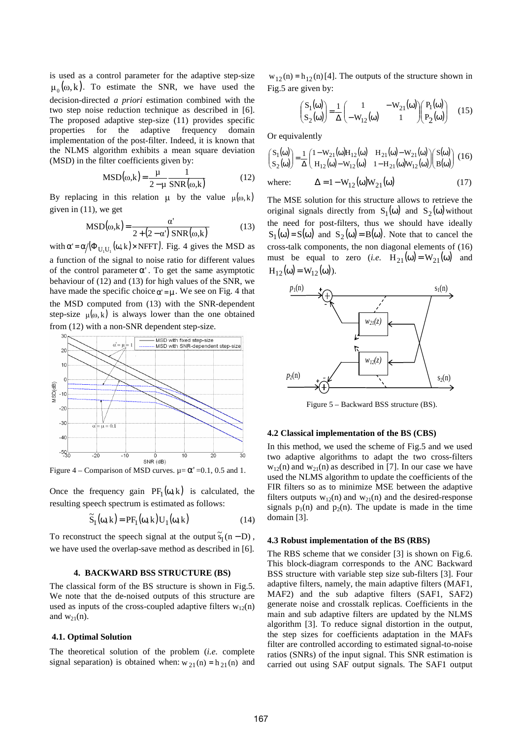is used as a control parameter for the adaptive step-size  $\mu_0(\omega, k)$ . To estimate the SNR, we have used the decision-directed *a priori* estimation combined with the two step noise reduction technique as described in [6]. The proposed adaptive step-size (11) provides specific properties for the adaptive frequency domain implementation of the post-filter. Indeed, it is known that the NLMS algorithm exhibits a mean square deviation (MSD) in the filter coefficients given by:

$$
MSD(\omega,k) = \frac{\mu}{2 - \mu} \frac{1}{SNR(\omega,k)}
$$
(12)

By replacing in this relation  $\mu$  by the value  $\mu(\omega, k)$ given in (11), we get

$$
MSD(\omega,k) = \frac{\alpha'}{2 + (2 - \alpha') SNR(\omega,k)}
$$
(13)

with  $\alpha' = \alpha / (\Phi_{U_1 U_1}(\omega, k) \times \text{NFFT})$ . Fig. 4 gives the MSD as

a function of the signal to noise ratio for different values of the control parameter  $\alpha'$ . To get the same asymptotic behaviour of (12) and (13) for high values of the SNR, we have made the specific choice  $\alpha' = \mu$ . We see on Fig. 4 that the MSD computed from (13) with the SNR-dependent step-size  $\mu(\omega, k)$  is always lower than the one obtained from (12) with a non-SNR dependent step-size.



Figure 4 – Comparison of MSD curves.  $\mu = \alpha' = 0.1, 0.5$  and 1.

Once the frequency gain  $PF_1(\omega, k)$  is calculated, the resulting speech spectrum is estimated as follows:

$$
\widetilde{S}_1(\omega, k) = PF_1(\omega, k) U_1(\omega, k)
$$
\n(14)

To reconstruct the speech signal at the output  $\tilde{s}_1(n - D)$ , we have used the overlap-save method as described in [6].

### **4. BACKWARD BSS STRUCTURE (BS)**

The classical form of the BS structure is shown in Fig.5. We note that the de-noised outputs of this structure are used as inputs of the cross-coupled adaptive filters  $w_{12}(n)$ and  $w_{21}(n)$ .

# **4.1. Optimal Solution**

The theoretical solution of the problem (*i.e.* complete signal separation) is obtained when:  $w_{21}(n) = h_{21}(n)$  and  $w_{12}(n) = h_{12}(n)$  [4]. The outputs of the structure shown in Fig.5 are given by:

$$
\begin{pmatrix} S_1(\omega) \\ S_2(\omega) \end{pmatrix} = \frac{1}{\Delta} \begin{pmatrix} 1 & -W_{21}(\omega) \\ -W_{12}(\omega) & 1 \end{pmatrix} \begin{pmatrix} P_1(\omega) \\ P_2(\omega) \end{pmatrix} (15)
$$

Or equivalently

$$
\begin{pmatrix} S_1(\omega) \\ S_2(\omega) \end{pmatrix} = \frac{1}{\Delta} \begin{pmatrix} 1 - W_{21}(\omega) H_{12}(\omega) & H_{21}(\omega) - W_{21}(\omega) \\ H_{12}(\omega) - W_{12}(\omega) & 1 - H_{21}(\omega) W_{12}(\omega) \end{pmatrix} \begin{pmatrix} S(\omega) \\ B(\omega) \end{pmatrix} (16)
$$

where: 
$$
\Delta = 1 - W_{12}(\omega)W_{21}(\omega)
$$
 (17)

The MSE solution for this structure allows to retrieve the original signals directly from  $S_1(\omega)$  and  $S_2(\omega)$  without the need for post-filters, thus we should have ideally  $S_1(\omega) = S(\omega)$  and  $S_2(\omega) = B(\omega)$ . Note that to cancel the cross-talk components, the non diagonal elements of (16) must be equal to zero (*i.e.*  $H_{21}(\omega) = W_{21}(\omega)$  and  $H_{12}(\omega) = W_{12}(\omega)$ ).



Figure 5 – Backward BSS structure (BS).

## **4.2 Classical implementation of the BS (CBS)**

In this method, we used the scheme of Fig.5 and we used two adaptive algorithms to adapt the two cross-filters  $w_{12}(n)$  and  $w_{21}(n)$  as described in [7]. In our case we have used the NLMS algorithm to update the coefficients of the FIR filters so as to minimize MSE between the adaptive filters outputs  $w_{12}(n)$  and  $w_{21}(n)$  and the desired-response signals  $p_1(n)$  and  $p_2(n)$ . The update is made in the time domain [3].

# **4.3 Robust implementation of the BS (RBS)**

The RBS scheme that we consider [3] is shown on Fig.6. This block-diagram corresponds to the ANC Backward BSS structure with variable step size sub-filters [3]. Four adaptive filters, namely, the main adaptive filters (MAF1, MAF2) and the sub adaptive filters (SAF1, SAF2) generate noise and crosstalk replicas. Coefficients in the main and sub adaptive filters are updated by the NLMS algorithm [3]. To reduce signal distortion in the output, the step sizes for coefficients adaptation in the MAFs filter are controlled according to estimated signal-to-noise ratios (SNRs) of the input signal. This SNR estimation is carried out using SAF output signals. The SAF1 output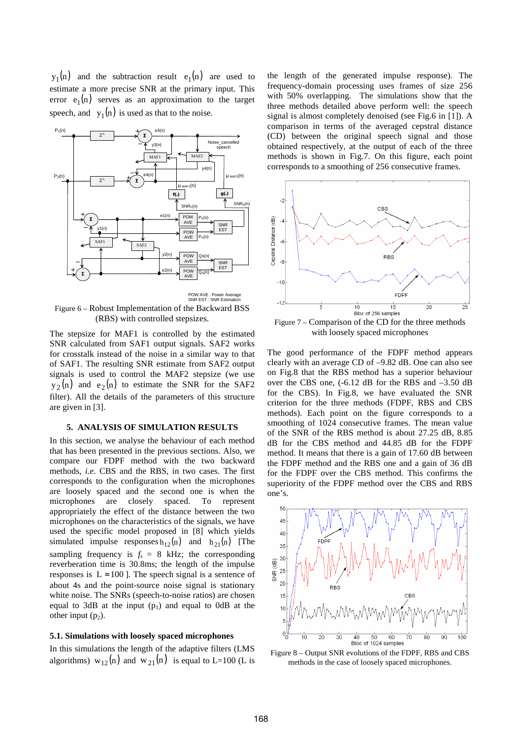$y_1(n)$  and the subtraction result  $e_1(n)$  are used to estimate a more precise SNR at the primary input. This error  $e_1(n)$  serves as an approximation to the target speech, and  $y_1(n)$  is used as that to the noise.



Figure 6 – Robust Implementation of the Backward BSS (RBS) with controlled stepsizes.

The stepsize for MAF1 is controlled by the estimated SNR calculated from SAF1 output signals. SAF2 works for crosstalk instead of the noise in a similar way to that of SAF1. The resulting SNR estimate from SAF2 output signals is used to control the MAF2 stepsize (we use  $y_2(n)$  and  $e_2(n)$  to estimate the SNR for the SAF2 filter). All the details of the parameters of this structure are given in [3].

### **5. ANALYSIS OF SIMULATION RESULTS**

In this section, we analyse the behaviour of each method that has been presented in the previous sections. Also, we compare our FDPF method with the two backward methods, *i.e*. CBS and the RBS, in two cases. The first corresponds to the configuration when the microphones are loosely spaced and the second one is when the microphones are closely spaced. To represent appropriately the effect of the distance between the two microphones on the characteristics of the signals, we have used the specific model proposed in [8] which yields simulated impulse responses  $h_{12}(n)$  and  $h_{21}(n)$  [The sampling frequency is  $f_s = 8$  kHz; the corresponding reverberation time is 30.8ms; the length of the impulse responses is  $L = 100$  ]. The speech signal is a sentence of about 4s and the point-source noise signal is stationary white noise. The SNRs (speech-to-noise ratios) are chosen equal to 3dB at the input  $(p_1)$  and equal to 0dB at the other input  $(p_2)$ .

# **5.1. Simulations with loosely spaced microphones**

In this simulations the length of the adaptive filters (LMS algorithms)  $w_{12}(n)$  and  $w_{21}(n)$  is equal to L=100 (L is

the length of the generated impulse response)*.* The frequency-domain processing uses frames of size 256 with 50% overlapping. The simulations show that the three methods detailed above perform well: the speech signal is almost completely denoised (see Fig.6 in [1]). A comparison in terms of the averaged cepstral distance (CD) between the original speech signal and those obtained respectively, at the output of each of the three methods is shown in Fig.7. On this figure, each point corresponds to a smoothing of 256 consecutive frames.



Figure 7 – Comparison of the CD for the three methods with loosely spaced microphones

The good performance of the FDPF method appears clearly with an average CD of –9.82 dB. One can also see on Fig.8 that the RBS method has a superior behaviour over the CBS one, (-6.12 dB for the RBS and –3.50 dB for the CBS). In Fig.8, we have evaluated the SNR criterion for the three methods (FDPF, RBS and CBS methods). Each point on the figure corresponds to a smoothing of 1024 consecutive frames. The mean value of the SNR of the RBS method is about 27.25 dB, 8.85 dB for the CBS method and 44.85 dB for the FDPF method. It means that there is a gain of 17.60 dB between the FDPF method and the RBS one and a gain of 36 dB for the FDPF over the CBS method. This confirms the superiority of the FDPF method over the CBS and RBS one's.



Figure 8 – Output SNR evolutions of the FDPF, RBS and CBS methods in the case of loosely spaced microphones.